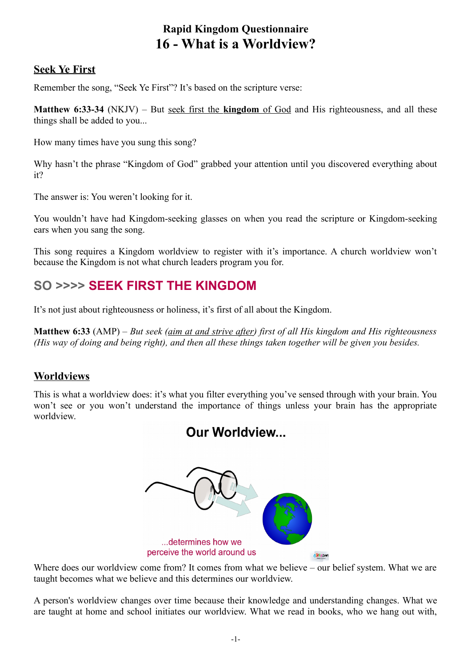# **Rapid Kingdom Questionnaire 16 - What is a Worldview?**

#### **Seek Ye First**

Remember the song, "Seek Ye First"? It's based on the scripture verse:

**Matthew 6:33-34** (NKJV) – But seek first the **kingdom** of God and His righteousness, and all these things shall be added to you...

How many times have you sung this song?

Why hasn't the phrase "Kingdom of God" grabbed your attention until you discovered everything about it?

The answer is: You weren't looking for it.

You wouldn't have had Kingdom-seeking glasses on when you read the scripture or Kingdom-seeking ears when you sang the song.

This song requires a Kingdom worldview to register with it's importance. A church worldview won't because the Kingdom is not what church leaders program you for.

# **SO >>>> SEEK FIRST THE KINGDOM**

It's not just about righteousness or holiness, it's first of all about the Kingdom.

**Matthew 6:33** (AMP) – *But seek (aim at and strive after) first of all His kingdom and His righteousness (His way of doing and being right), and then all these things taken together will be given you besides.*

#### **Worldviews**

This is what a worldview does: it's what you filter everything you've sensed through with your brain. You won't see or you won't understand the importance of things unless your brain has the appropriate worldview.



Where does our worldview come from? It comes from what we believe – our belief system. What we are taught becomes what we believe and this determines our worldview.

A person's worldview changes over time because their knowledge and understanding changes. What we are taught at home and school initiates our worldview. What we read in books, who we hang out with,